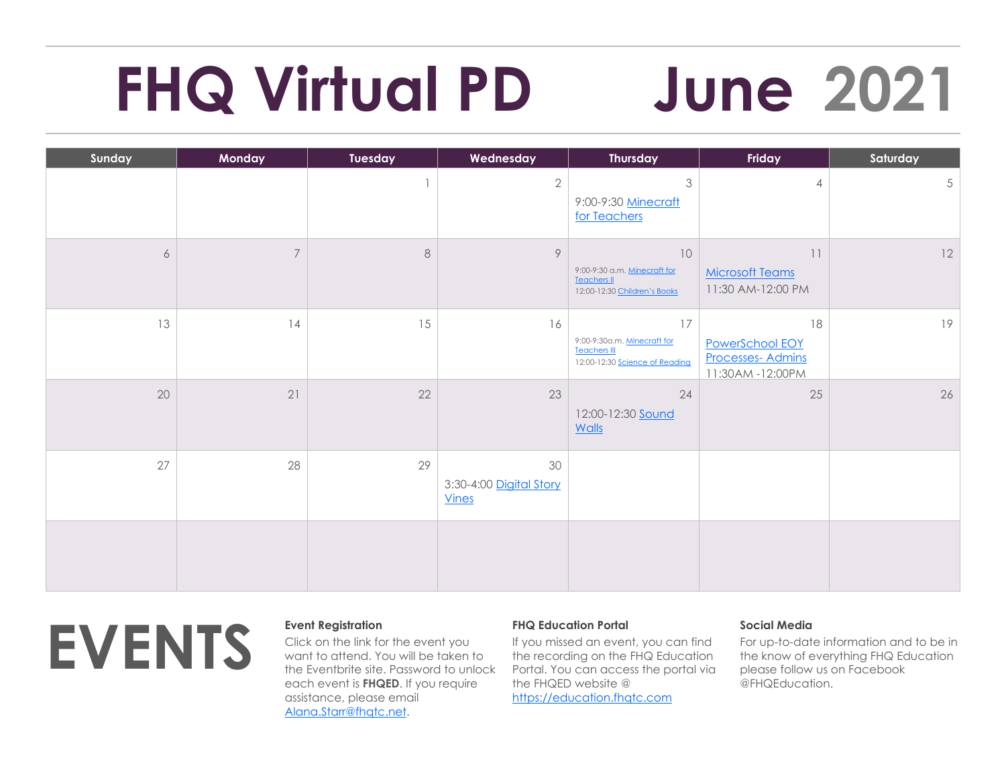# **FHQ Virtual PD June 2021**

| Sunday | Monday                   | Tuesday | Wednesday                                     | <b>Thursday</b>                                                                              | Friday                                                              | Saturday |
|--------|--------------------------|---------|-----------------------------------------------|----------------------------------------------------------------------------------------------|---------------------------------------------------------------------|----------|
|        |                          |         | $\mathbf{2}$                                  | $\mathfrak{Z}$<br>9:00-9:30 Minecraft<br>for Teachers                                        | $\overline{4}$                                                      | 5        |
| 6      | $\overline{\mathcal{I}}$ | $\,8\,$ | 9                                             | 10<br>9:00-9:30 a.m. Minecraft for<br><b>Teachers II</b><br>12:00-12:30 Children's Books     | 11<br><b>Microsoft Teams</b><br>11:30 AM-12:00 PM                   | 12       |
| 13     | 14                       | 15      | 16                                            | $17$<br>9:00-9:30a.m. Minecraft for<br><b>Teachers III</b><br>12:00-12:30 Science of Reading | 18<br>PowerSchool EOY<br><b>Processes-Admins</b><br>11:30AM-12:00PM | 19       |
| 20     | 21                       | 22      | 23                                            | 24<br>12:00-12:30 <b>Sound</b><br>Walls                                                      | 25                                                                  | 26       |
| 27     | 28                       | 29      | 30<br>3:30-4:00 Digital Story<br><b>Vines</b> |                                                                                              |                                                                     |          |
|        |                          |         |                                               |                                                                                              |                                                                     |          |



Click on the link for the event you want to attend. You will be taken to the Eventbrite site. Password to unlock each event is **FHQED**. If you require assistance, please email [Alana.Starr@fhqtc.net.](mailto:Alana.Starr@fhqtc.net)

# **FHQ Education Portal**

If you missed an event, you can find the recording on the FHQ Education Portal. You can access the portal via the FHQED website @ [https://education.fhqtc.com](https://education.fhqtc.com/)

# **Social Media**

For up-to-date information and to be in the know of everything FHQ Education please follow us on Facebook @FHQEducation.